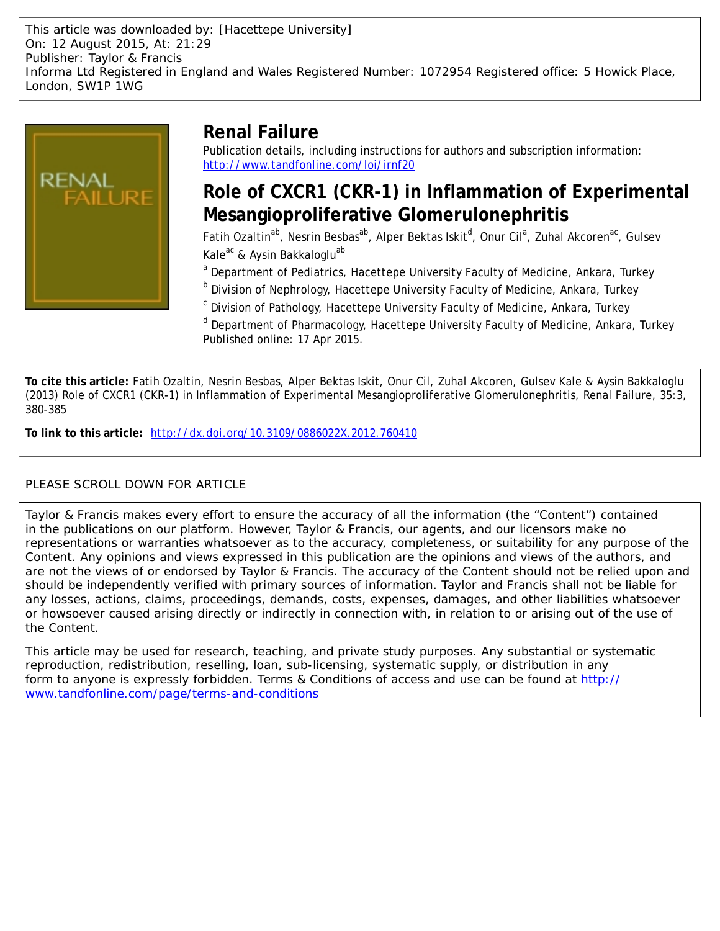This article was downloaded by: [Hacettepe University] On: 12 August 2015, At: 21:29 Publisher: Taylor & Francis Informa Ltd Registered in England and Wales Registered Number: 1072954 Registered office: 5 Howick Place, London, SW1P 1WG



## **Renal Failure**

Publication details, including instructions for authors and subscription information: <http://www.tandfonline.com/loi/irnf20>

## **Role of CXCR1 (CKR-1) in Inflammation of Experimental Mesangioproliferative Glomerulonephritis**

Fatih Ozaltin<sup>ab</sup>, Nesrin Besbas<sup>ab</sup>, Alper Bektas Iskit<sup>d</sup>, Onur Cil<sup>a</sup>, Zuhal Akcoren<sup>ac</sup>, Gulsev Kale<sup>ac</sup> & Aysin Bakkaloglu<sup>ab</sup>

<sup>a</sup> Department of Pediatrics, Hacettepe University Faculty of Medicine, Ankara, Turkey

<sup>b</sup> Division of Nephrology, Hacettepe University Faculty of Medicine, Ankara, Turkey

<sup>c</sup> Division of Pathology, Hacettepe University Faculty of Medicine, Ankara, Turkey

<sup>d</sup> Department of Pharmacology, Hacettepe University Faculty of Medicine, Ankara, Turkey Published online: 17 Apr 2015.

**To cite this article:** Fatih Ozaltin, Nesrin Besbas, Alper Bektas Iskit, Onur Cil, Zuhal Akcoren, Gulsev Kale & Aysin Bakkaloglu (2013) Role of CXCR1 (CKR-1) in Inflammation of Experimental Mesangioproliferative Glomerulonephritis, Renal Failure, 35:3, 380-385

**To link to this article:** <http://dx.doi.org/10.3109/0886022X.2012.760410>

### PLEASE SCROLL DOWN FOR ARTICLE

Taylor & Francis makes every effort to ensure the accuracy of all the information (the "Content") contained in the publications on our platform. However, Taylor & Francis, our agents, and our licensors make no representations or warranties whatsoever as to the accuracy, completeness, or suitability for any purpose of the Content. Any opinions and views expressed in this publication are the opinions and views of the authors, and are not the views of or endorsed by Taylor & Francis. The accuracy of the Content should not be relied upon and should be independently verified with primary sources of information. Taylor and Francis shall not be liable for any losses, actions, claims, proceedings, demands, costs, expenses, damages, and other liabilities whatsoever or howsoever caused arising directly or indirectly in connection with, in relation to or arising out of the use of the Content.

This article may be used for research, teaching, and private study purposes. Any substantial or systematic reproduction, redistribution, reselling, loan, sub-licensing, systematic supply, or distribution in any form to anyone is expressly forbidden. Terms & Conditions of access and use can be found at [http://](http://www.tandfonline.com/page/terms-and-conditions) [www.tandfonline.com/page/terms-and-conditions](http://www.tandfonline.com/page/terms-and-conditions)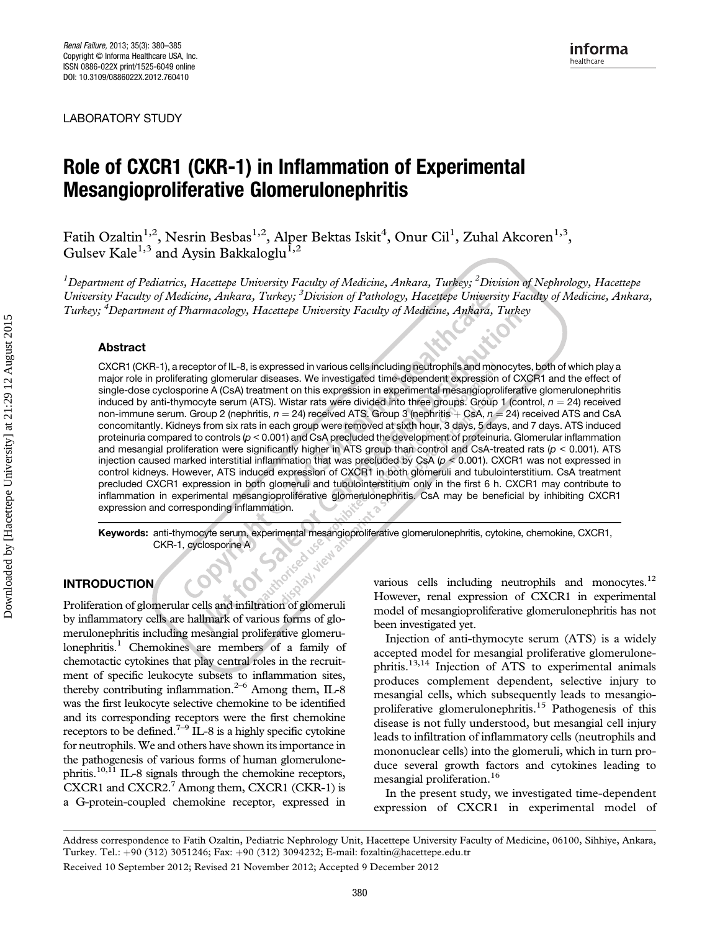LABORATORY STUDY

# **Mesangionroliferative Glomerulonenhritis** Mesangioproliferative Glomerulonephritis

Fatih Ozaltin $^{1,2}$ , Nesrin Besbas $^{1,2}$ , Alper Bektas Iskit $^4$ , Onur Cil<sup>1</sup>, Zuhal Akcoren $^{1,3}$ , Gulsev Kale<sup>1,3</sup> and Aysin Bakkaloglu<sup>1,2</sup>

 $^1$ Department of Pediatrics, Hacettepe University Faculty of Medicine, Ankara, Turkey;  $^2$ Division of Nephrology, Hacettepe University Faculty of Medicine, Ankara, Turkey; <sup>3</sup> Division of Pathology, Hacettepe University Faculty of Medicine, Ankara, Turkey; <sup>4</sup>Department of Pharmacology, Hacettepe University Faculty of Medicine, Ankara, Turkey

#### Abstract

CXCR1 (CKR-1), a receptor of IL-8, is expressed in various cells including neutrophils and monocytes, both of which play a major role in proliferating glomerular diseases. We investigated time-dependent expression of CXCR1 and the effect of single-dose cyclosporine A (CsA) treatment on this expression in experimental mesangioproliferative glomerulonephritis induced by anti-thymocyte serum (ATS). Wistar rats were divided into three groups. Group 1 (control,  $n = 24$ ) received non-immune serum. Group 2 (nephritis,  $n = 24$ ) received ATS. Group 3 (nephritis  $+$  CsA,  $n = 24$ ) received ATS and CsA concomitantly. Kidneys from six rats in each group were removed at sixth hour, 3 days, 5 days, and 7 days. ATS induced proteinuria compared to controls (p < 0.001) and CsA precluded the development of proteinuria. Glomerular inflammation and mesangial proliferation were significantly higher in ATS group than control and CsA-treated rats ( $p < 0.001$ ). ATS injection caused marked interstitial inflammation that was precluded by CsA ( $p < 0.001$ ). CXCR1 was not expressed in control kidneys. However, ATS induced expression of CXCR1 in both glomeruli and tubulointerstitium. CsA treatment precluded CXCR1 expression in both glomeruli and tubulointerstitium only in the first 6 h. CXCR1 may contribute to inflammation in experimental mesangioproliferative glomerulonephritis. CsA may be beneficial by inhibiting CXCR1 expression and corresponding inflammation.

Keywords: anti-thymocyte serum, experimental mesangioproliferative glomerulonephritis, cytokine, chemokine, CXCR1,<br>CKR-1, cyclosporine A<br>DDUCTION CKR-1, cyclosporine A Spay, view

#### INTRODUCTION

Proliferation of glomerular cells and infiltration of glomeruli by inflammatory cells are hallmark of various forms of glomerulonephritis including mesangial proliferative glomerulonephritis.<sup>1</sup> Chemokines are members of a family of chemotactic cytokines that play central roles in the recruitment of specific leukocyte subsets to inflammation sites, thereby contributing inflammation. $2-6$  Among them, IL-8 was the first leukocyte selective chemokine to be identified and its corresponding receptors were the first chemokine receptors to be defined.<sup>7–9</sup> IL-8 is a highly specific cytokine for neutrophils.We and others have shown its importance in the pathogenesis of various forms of human glomerulonephritis.<sup>10,11</sup> IL-8 signals through the chemokine receptors, CXCR1 and CXCR2. $7$  Among them, CXCR1 (CKR-1) is a G-protein-coupled chemokine receptor, expressed in

various cells including neutrophils and monocytes.<sup>12</sup> However, renal expression of CXCR1 in experimental model of mesangioproliferative glomerulonephritis has not been investigated yet.

Injection of anti-thymocyte serum (ATS) is a widely accepted model for mesangial proliferative glomerulonephritis.13,14 Injection of ATS to experimental animals produces complement dependent, selective injury to mesangial cells, which subsequently leads to mesangioproliferative glomerulonephritis.<sup>15</sup> Pathogenesis of this disease is not fully understood, but mesangial cell injury leads to infiltration of inflammatory cells (neutrophils and mononuclear cells) into the glomeruli, which in turn produce several growth factors and cytokines leading to mesangial proliferation.<sup>16</sup>

In the present study, we investigated time-dependent expression of CXCR1 in experimental model of

Address correspondence to Fatih Ozaltin, Pediatric Nephrology Unit, Hacettepe University Faculty of Medicine, 06100, Sihhiye, Ankara, Turkey. Tel.: þ90 (312) 3051246; Fax: þ90 (312) 3094232; E-mail: fozaltin@hacettepe.edu.tr Received 10 September 2012; Revised 21 November 2012; Accepted 9 December 2012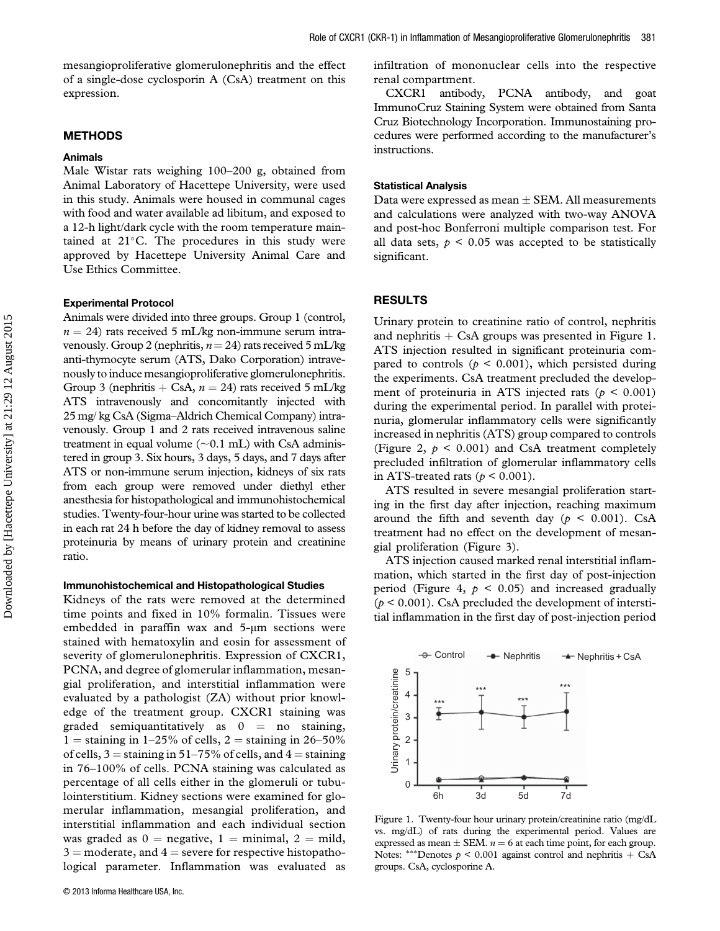mesangioproliferative glomerulonephritis and the effect of a single-dose cyclosporin A (CsA) treatment on this expression.

#### METHODS

#### Animals

Male Wistar rats weighing 100–200 g, obtained from Animal Laboratory of Hacettepe University, were used in this study. Animals were housed in communal cages with food and water available ad libitum, and exposed to a 12-h light/dark cycle with the room temperature maintained at  $21^{\circ}$ C. The procedures in this study were approved by Hacettepe University Animal Care and Use Ethics Committee.

#### Experimental Protocol

Animals were divided into three groups. Group 1 (control,  $n = 24$ ) rats received 5 mL/kg non-immune serum intravenously. Group 2 (nephritis,  $n = 24$ ) rats received 5 mL/kg anti-thymocyte serum (ATS, Dako Corporation) intravenously to induce mesangioproliferative glomerulonephritis. Group 3 (nephritis  $+$  CsA,  $n = 24$ ) rats received 5 mL/kg ATS intravenously and concomitantly injected with 25 mg/ kg CsA (Sigma–Aldrich Chemical Company) intravenously. Group 1 and 2 rats received intravenous saline treatment in equal volume  $(\sim 0.1 \text{ mL})$  with CsA administered in group 3. Six hours, 3 days, 5 days, and 7 days after ATS or non-immune serum injection, kidneys of six rats from each group were removed under diethyl ether anesthesia for histopathological and immunohistochemical studies. Twenty-four-hour urine was started to be collected in each rat 24 h before the day of kidney removal to assess proteinuria by means of urinary protein and creatinine ratio.

#### Immunohistochemical and Histopathological Studies

Kidneys of the rats were removed at the determined time points and fixed in 10% formalin. Tissues were embedded in paraffin wax and 5-μm sections were stained with hematoxylin and eosin for assessment of severity of glomerulonephritis. Expression of CXCR1, PCNA, and degree of glomerular inflammation, mesangial proliferation, and interstitial inflammation were evaluated by a pathologist (ZA) without prior knowledge of the treatment group. CXCR1 staining was graded semiquantitatively as  $0 =$  no staining, 1 = staining in 1–25% of cells, 2 = staining in 26–50% of cells,  $3 =$  staining in 51–75% of cells, and  $4 =$  staining in 76–100% of cells. PCNA staining was calculated as percentage of all cells either in the glomeruli or tubulointerstitium. Kidney sections were examined for glomerular inflammation, mesangial proliferation, and interstitial inflammation and each individual section was graded as  $0 =$  negative,  $1 =$  minimal,  $2 =$  mild,  $3 =$  moderate, and  $4 =$  severe for respective histopathological parameter. Inflammation was evaluated as

infiltration of mononuclear cells into the respective renal compartment.

CXCR1 antibody, PCNA antibody, and goat ImmunoCruz Staining System were obtained from Santa Cruz Biotechnology Incorporation. Immunostaining procedures were performed according to the manufacturer's instructions.

#### Statistical Analysis

Data were expressed as mean  $\pm$  SEM. All measurements and calculations were analyzed with two-way ANOVA and post-hoc Bonferroni multiple comparison test. For all data sets,  $p < 0.05$  was accepted to be statistically significant.

#### RESULTS

Urinary protein to creatinine ratio of control, nephritis and nephritis  $+$  CsA groups was presented in Figure 1. ATS injection resulted in significant proteinuria compared to controls ( $p \le 0.001$ ), which persisted during the experiments. CsA treatment precluded the development of proteinuria in ATS injected rats ( $p < 0.001$ ) during the experimental period. In parallel with proteinuria, glomerular inflammatory cells were significantly increased in nephritis (ATS) group compared to controls (Figure 2,  $p < 0.001$ ) and CsA treatment completely precluded infiltration of glomerular inflammatory cells in ATS-treated rats ( $p < 0.001$ ).

ATS resulted in severe mesangial proliferation starting in the first day after injection, reaching maximum around the fifth and seventh day ( $p \le 0.001$ ). CsA treatment had no effect on the development of mesangial proliferation (Figure 3).

ATS injection caused marked renal interstitial inflammation, which started in the first day of post-injection period (Figure 4,  $p < 0.05$ ) and increased gradually  $(p < 0.001)$ . CsA precluded the development of interstitial inflammation in the first day of post-injection period



Figure 1. Twenty-four hour urinary protein/creatinine ratio (mg/dL vs. mg/dL) of rats during the experimental period. Values are expressed as mean  $\pm$  SEM.  $n = 6$  at each time point, for each group. Notes: \*\*\*Denotes  $p \le 0.001$  against control and nephritis + CsA groups. CsA, cyclosporine A.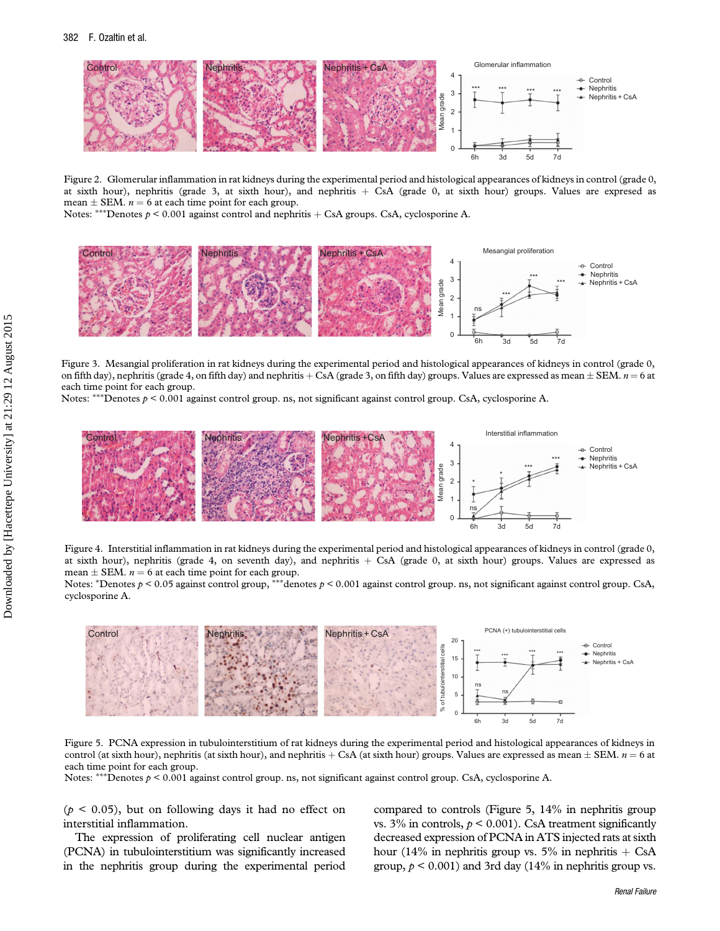

Figure 2. Glomerular inflammation in rat kidneys during the experimental period and histological appearances of kidneys in control (grade 0, at sixth hour), nephritis (grade 3, at sixth hour), and nephritis  $+$  CsA (grade 0, at sixth hour) groups. Values are expresed as mean  $\pm$  SEM.  $n = 6$  at each time point for each group.

Notes: \*\*\*Denotes  $p \le 0.001$  against control and nephritis + CsA groups. CsA, cyclosporine A.



Figure 3. Mesangial proliferation in rat kidneys during the experimental period and histological appearances of kidneys in control (grade 0, on fifth day), nephritis (grade 4, on fifth day) and nephritis + CsA (grade 3, on fifth day) groups. Values are expressed as mean  $\pm$  SEM.  $n = 6$  at each time point for each group.

Notes: \*\*\*Denotes  $p < 0.001$  against control group. ns, not significant against control group. CsA, cyclosporine A.



Figure 4. Interstitial inflammation in rat kidneys during the experimental period and histological appearances of kidneys in control (grade 0, at sixth hour), nephritis (grade 4, on seventh day), and nephritis  $+$  CsA (grade 0, at sixth hour) groups. Values are expressed as mean  $\pm$  SEM.  $n = 6$  at each time point for each group.

Notes: \*Denotes  $p < 0.05$  against control group, \*\*\*denotes  $p < 0.001$  against control group. ns, not significant against control group. CsA, cyclosporine A.



Figure 5. PCNA expression in tubulointerstitium of rat kidneys during the experimental period and histological appearances of kidneys in control (at sixth hour), nephritis (at sixth hour), and nephritis + CsA (at sixth hour) groups. Values are expressed as mean  $\pm$  SEM.  $n = 6$  at each time point for each group.

Notes: \*\*\*Denotes  $p \le 0.001$  against control group. ns, not significant against control group. CsA, cyclosporine A.

 $(p < 0.05)$ , but on following days it had no effect on interstitial inflammation.

The expression of proliferating cell nuclear antigen (PCNA) in tubulointerstitium was significantly increased in the nephritis group during the experimental period

compared to controls (Figure 5, 14% in nephritis group vs. 3% in controls,  $p < 0.001$ ). CsA treatment significantly decreased expression of PCNA in ATS injected rats at sixth hour (14% in nephritis group vs. 5% in nephritis  $+$  CsA group,  $p < 0.001$ ) and 3rd day (14% in nephritis group vs.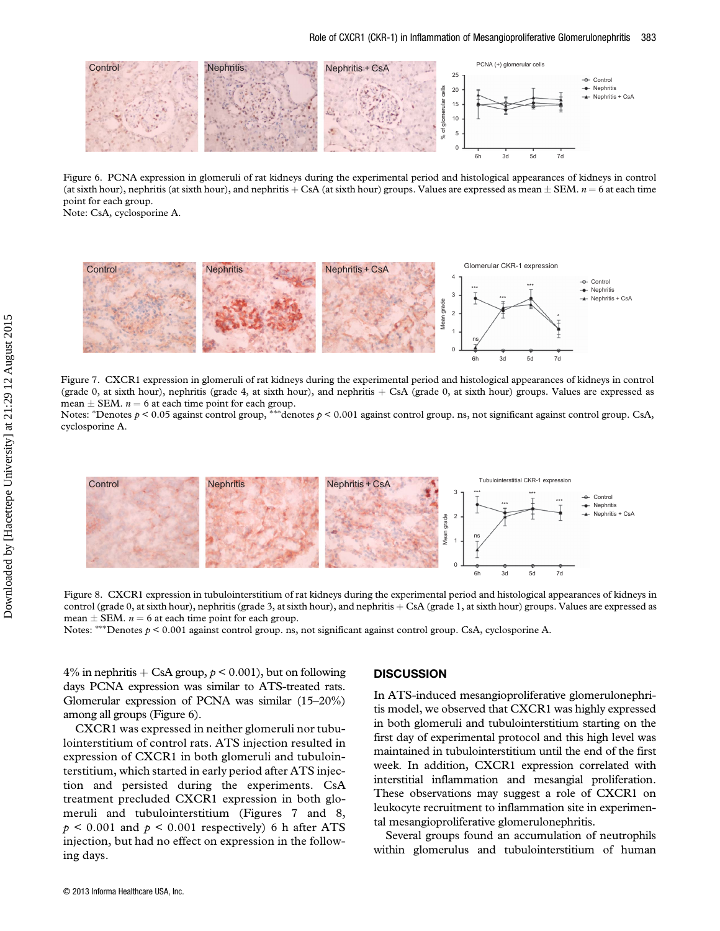

Figure 6. PCNA expression in glomeruli of rat kidneys during the experimental period and histological appearances of kidneys in control (at sixth hour), nephritis (at sixth hour), and nephritis + CsA (at sixth hour) groups. Values are expressed as mean  $\pm$  SEM.  $n = 6$  at each time point for each group.

Note: CsA, cyclosporine A.



Figure 7. CXCR1 expression in glomeruli of rat kidneys during the experimental period and histological appearances of kidneys in control (grade 0, at sixth hour), nephritis (grade 4, at sixth hour), and nephritis  $+$  CsA (grade 0, at sixth hour) groups. Values are expressed as mean  $\pm$  SEM.  $n = 6$  at each time point for each group.

Notes: \*Denotes  $p < 0.05$  against control group, \*\*\*denotes  $p < 0.001$  against control group. ns, not significant against control group. CsA, cyclosporine A.



Figure 8. CXCR1 expression in tubulointerstitium of rat kidneys during the experimental period and histological appearances of kidneys in control (grade 0, at sixth hour), nephritis (grade 3, at sixth hour), and nephritis + CsA (grade 1, at sixth hour) groups. Values are expressed as mean  $\pm$  SEM.  $n = 6$  at each time point for each group.

Notes: \*\*\*Denotes  $p \le 0.001$  against control group. ns, not significant against control group. CsA, cyclosporine A.

4% in nephritis  $+$  CsA group,  $p < 0.001$ ), but on following days PCNA expression was similar to ATS-treated rats. Glomerular expression of PCNA was similar (15–20%) among all groups (Figure 6).

CXCR1 was expressed in neither glomeruli nor tubulointerstitium of control rats. ATS injection resulted in expression of CXCR1 in both glomeruli and tubulointerstitium, which started in early period after ATS injection and persisted during the experiments. CsA treatment precluded CXCR1 expression in both glomeruli and tubulointerstitium (Figures 7 and 8,  $p \leq 0.001$  and  $p \leq 0.001$  respectively) 6 h after ATS injection, but had no effect on expression in the following days.

#### **DISCUSSION**

In ATS-induced mesangioproliferative glomerulonephritis model, we observed that CXCR1 was highly expressed in both glomeruli and tubulointerstitium starting on the first day of experimental protocol and this high level was maintained in tubulointerstitium until the end of the first week. In addition, CXCR1 expression correlated with interstitial inflammation and mesangial proliferation. These observations may suggest a role of CXCR1 on leukocyte recruitment to inflammation site in experimental mesangioproliferative glomerulonephritis.

Several groups found an accumulation of neutrophils within glomerulus and tubulointerstitium of human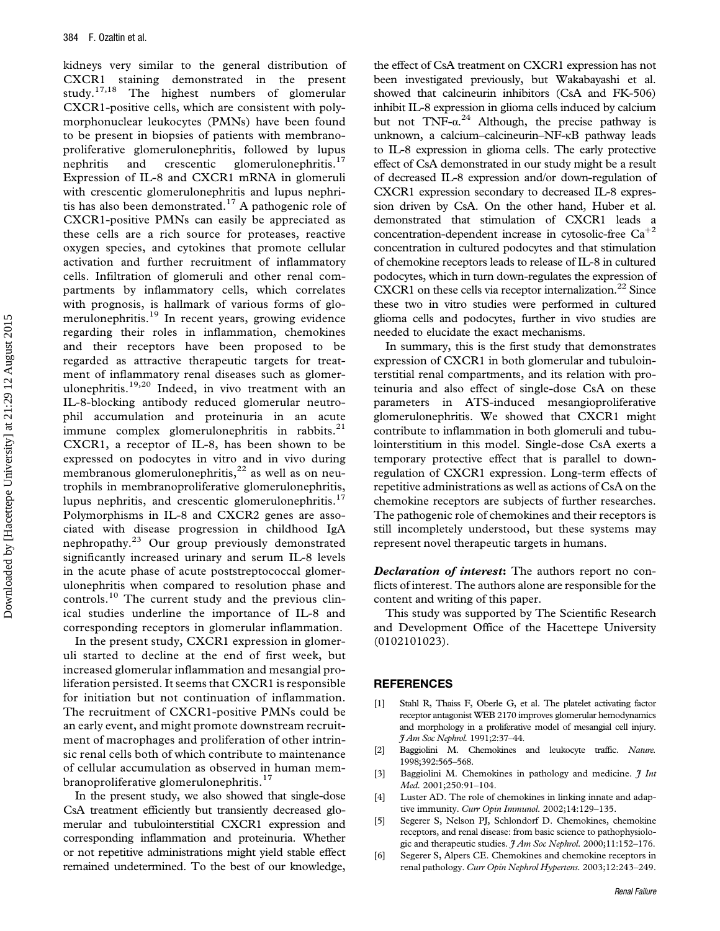kidneys very similar to the general distribution of CXCR1 staining demonstrated in the present study.17,18 The highest numbers of glomerular CXCR1-positive cells, which are consistent with polymorphonuclear leukocytes (PMNs) have been found to be present in biopsies of patients with membranoproliferative glomerulonephritis, followed by lupus nephritis and crescentic glomerulonephritis.<sup>17</sup> Expression of IL-8 and CXCR1 mRNA in glomeruli with crescentic glomerulonephritis and lupus nephritis has also been demonstrated.<sup>17</sup> A pathogenic role of CXCR1-positive PMNs can easily be appreciated as these cells are a rich source for proteases, reactive oxygen species, and cytokines that promote cellular activation and further recruitment of inflammatory cells. Infiltration of glomeruli and other renal compartments by inflammatory cells, which correlates with prognosis, is hallmark of various forms of glomerulonephritis.<sup>19</sup> In recent years, growing evidence regarding their roles in inflammation, chemokines and their receptors have been proposed to be regarded as attractive therapeutic targets for treatment of inflammatory renal diseases such as glomerulonephritis.<sup>19,20</sup> Indeed, in vivo treatment with an IL-8-blocking antibody reduced glomerular neutrophil accumulation and proteinuria in an acute immune complex glomerulonephritis in rabbits.<sup>21</sup> CXCR1, a receptor of IL-8, has been shown to be expressed on podocytes in vitro and in vivo during membranous glomerulonephritis, $^{22}$  as well as on neutrophils in membranoproliferative glomerulonephritis, lupus nephritis, and crescentic glomerulonephritis.<sup>17</sup> Polymorphisms in IL-8 and CXCR2 genes are associated with disease progression in childhood IgA nephropathy.<sup>23</sup> Our group previously demonstrated significantly increased urinary and serum IL-8 levels in the acute phase of acute poststreptococcal glomerulonephritis when compared to resolution phase and controls.<sup>10</sup> The current study and the previous clinical studies underline the importance of IL-8 and corresponding receptors in glomerular inflammation.

In the present study, CXCR1 expression in glomeruli started to decline at the end of first week, but increased glomerular inflammation and mesangial proliferation persisted. It seems that CXCR1 is responsible for initiation but not continuation of inflammation. The recruitment of CXCR1-positive PMNs could be an early event, and might promote downstream recruitment of macrophages and proliferation of other intrinsic renal cells both of which contribute to maintenance of cellular accumulation as observed in human membranoproliferative glomerulonephritis.<sup>17</sup>

In the present study, we also showed that single-dose CsA treatment efficiently but transiently decreased glomerular and tubulointerstitial CXCR1 expression and corresponding inflammation and proteinuria. Whether or not repetitive administrations might yield stable effect remained undetermined. To the best of our knowledge,

the effect of CsA treatment on CXCR1 expression has not been investigated previously, but Wakabayashi et al. showed that calcineurin inhibitors (CsA and FK-506) inhibit IL-8 expression in glioma cells induced by calcium but not  $TNF-\alpha^{24}$  Although, the precise pathway is unknown, a calcium–calcineurin–NF-κB pathway leads to IL-8 expression in glioma cells. The early protective effect of CsA demonstrated in our study might be a result of decreased IL-8 expression and/or down-regulation of CXCR1 expression secondary to decreased IL-8 expression driven by CsA. On the other hand, Huber et al. demonstrated that stimulation of CXCR1 leads a concentration-dependent increase in cytosolic-free  $Ca^{+2}$ concentration in cultured podocytes and that stimulation of chemokine receptors leads to release of IL-8 in cultured podocytes, which in turn down-regulates the expression of CXCR1 on these cells via receptor internalization.<sup>22</sup> Since these two in vitro studies were performed in cultured glioma cells and podocytes, further in vivo studies are needed to elucidate the exact mechanisms.

In summary, this is the first study that demonstrates expression of CXCR1 in both glomerular and tubulointerstitial renal compartments, and its relation with proteinuria and also effect of single-dose CsA on these parameters in ATS-induced mesangioproliferative glomerulonephritis. We showed that CXCR1 might contribute to inflammation in both glomeruli and tubulointerstitium in this model. Single-dose CsA exerts a temporary protective effect that is parallel to downregulation of CXCR1 expression. Long-term effects of repetitive administrations as well as actions of CsA on the chemokine receptors are subjects of further researches. The pathogenic role of chemokines and their receptors is still incompletely understood, but these systems may represent novel therapeutic targets in humans.

Declaration of interest: The authors report no conflicts of interest. The authors alone are responsible for the content and writing of this paper.

This study was supported by The Scientific Research and Development Office of the Hacettepe University (0102101023).

#### **REFERENCES**

- [1] Stahl R, Thaiss F, Oberle G, et al. The platelet activating factor receptor antagonist WEB 2170 improves glomerular hemodynamics and morphology in a proliferative model of mesangial cell injury. J Am Soc Nephrol. 1991;2:37–44.
- [2] Baggiolini M. Chemokines and leukocyte traffic. Nature. 1998;392:565–568.
- [3] Baggiolini M. Chemokines in pathology and medicine.  $\mathfrak{Z}$  Int Med. 2001;250:91–104.
- [4] Luster AD. The role of chemokines in linking innate and adaptive immunity. Curr Opin Immunol. 2002;14:129–135.
- [5] Segerer S, Nelson PJ, Schlondorf D. Chemokines, chemokine receptors, and renal disease: from basic science to pathophysiologic and therapeutic studies.  $\frac{\gamma}{4}Am$  Soc Nephrol. 2000;11:152–176.
- [6] Segerer S, Alpers CE. Chemokines and chemokine receptors in renal pathology. Curr Opin Nephrol Hypertens. 2003;12:243–249.